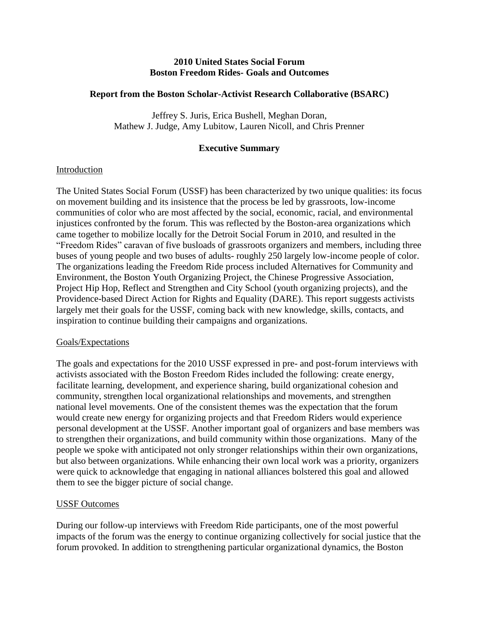# **2010 United States Social Forum Boston Freedom Rides- Goals and Outcomes**

# **Report from the Boston Scholar-Activist Research Collaborative (BSARC)**

Jeffrey S. Juris, Erica Bushell, Meghan Doran, Mathew J. Judge, Amy Lubitow, Lauren Nicoll, and Chris Prenner

# **Executive Summary**

# Introduction

The United States Social Forum (USSF) has been characterized by two unique qualities: its focus on movement building and its insistence that the process be led by grassroots, low-income communities of color who are most affected by the social, economic, racial, and environmental injustices confronted by the forum. This was reflected by the Boston-area organizations which came together to mobilize locally for the Detroit Social Forum in 2010, and resulted in the "Freedom Rides" caravan of five busloads of grassroots organizers and members, including three buses of young people and two buses of adults- roughly 250 largely low-income people of color. The organizations leading the Freedom Ride process included Alternatives for Community and Environment, the Boston Youth Organizing Project, the Chinese Progressive Association, Project Hip Hop, Reflect and Strengthen and City School (youth organizing projects), and the Providence-based Direct Action for Rights and Equality (DARE). This report suggests activists largely met their goals for the USSF, coming back with new knowledge, skills, contacts, and inspiration to continue building their campaigns and organizations.

# Goals/Expectations

The goals and expectations for the 2010 USSF expressed in pre- and post-forum interviews with activists associated with the Boston Freedom Rides included the following: create energy, facilitate learning, development, and experience sharing, build organizational cohesion and community, strengthen local organizational relationships and movements, and strengthen national level movements. One of the consistent themes was the expectation that the forum would create new energy for organizing projects and that Freedom Riders would experience personal development at the USSF. Another important goal of organizers and base members was to strengthen their organizations, and build community within those organizations. Many of the people we spoke with anticipated not only stronger relationships within their own organizations, but also between organizations. While enhancing their own local work was a priority, organizers were quick to acknowledge that engaging in national alliances bolstered this goal and allowed them to see the bigger picture of social change.

# USSF Outcomes

During our follow-up interviews with Freedom Ride participants, one of the most powerful impacts of the forum was the energy to continue organizing collectively for social justice that the forum provoked. In addition to strengthening particular organizational dynamics, the Boston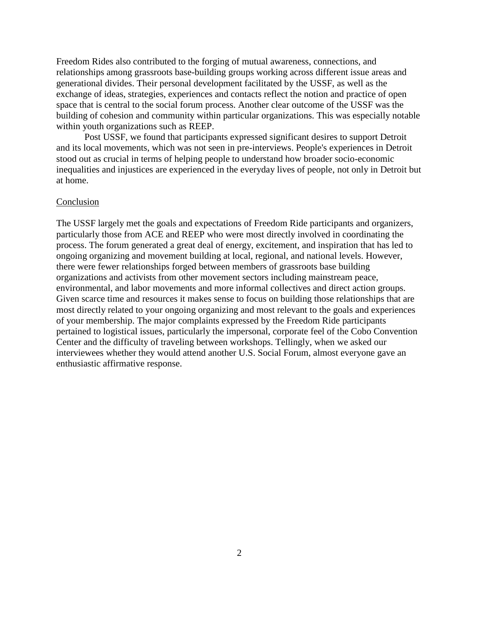Freedom Rides also contributed to the forging of mutual awareness, connections, and relationships among grassroots base-building groups working across different issue areas and generational divides. Their personal development facilitated by the USSF, as well as the exchange of ideas, strategies, experiences and contacts reflect the notion and practice of open space that is central to the social forum process. Another clear outcome of the USSF was the building of cohesion and community within particular organizations. This was especially notable within youth organizations such as REEP.

Post USSF, we found that participants expressed significant desires to support Detroit and its local movements, which was not seen in pre-interviews. People's experiences in Detroit stood out as crucial in terms of helping people to understand how broader socio-economic inequalities and injustices are experienced in the everyday lives of people, not only in Detroit but at home.

#### Conclusion

The USSF largely met the goals and expectations of Freedom Ride participants and organizers, particularly those from ACE and REEP who were most directly involved in coordinating the process. The forum generated a great deal of energy, excitement, and inspiration that has led to ongoing organizing and movement building at local, regional, and national levels. However, there were fewer relationships forged between members of grassroots base building organizations and activists from other movement sectors including mainstream peace, environmental, and labor movements and more informal collectives and direct action groups. Given scarce time and resources it makes sense to focus on building those relationships that are most directly related to your ongoing organizing and most relevant to the goals and experiences of your membership. The major complaints expressed by the Freedom Ride participants pertained to logistical issues, particularly the impersonal, corporate feel of the Cobo Convention Center and the difficulty of traveling between workshops. Tellingly, when we asked our interviewees whether they would attend another U.S. Social Forum, almost everyone gave an enthusiastic affirmative response.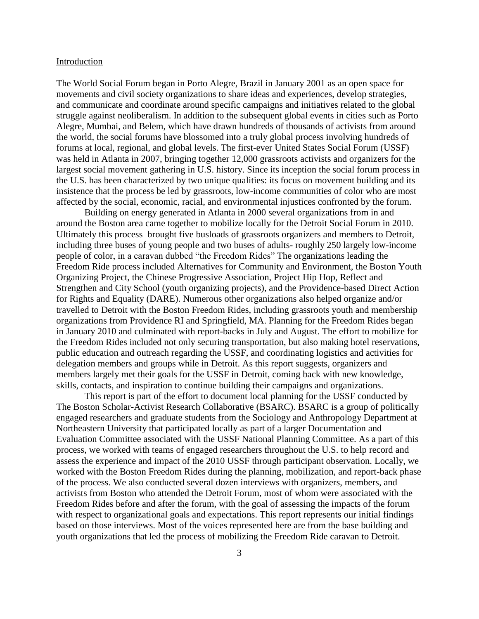#### Introduction

The World Social Forum began in Porto Alegre, Brazil in January 2001 as an open space for movements and civil society organizations to share ideas and experiences, develop strategies, and communicate and coordinate around specific campaigns and initiatives related to the global struggle against neoliberalism. In addition to the subsequent global events in cities such as Porto Alegre, Mumbai, and Belem, which have drawn hundreds of thousands of activists from around the world, the social forums have blossomed into a truly global process involving hundreds of forums at local, regional, and global levels. The first-ever United States Social Forum (USSF) was held in Atlanta in 2007, bringing together 12,000 grassroots activists and organizers for the largest social movement gathering in U.S. history. Since its inception the social forum process in the U.S. has been characterized by two unique qualities: its focus on movement building and its insistence that the process be led by grassroots, low-income communities of color who are most affected by the social, economic, racial, and environmental injustices confronted by the forum.

Building on energy generated in Atlanta in 2000 several organizations from in and around the Boston area came together to mobilize locally for the Detroit Social Forum in 2010. Ultimately this process brought five busloads of grassroots organizers and members to Detroit, including three buses of young people and two buses of adults- roughly 250 largely low-income people of color, in a caravan dubbed "the Freedom Rides" The organizations leading the Freedom Ride process included Alternatives for Community and Environment, the Boston Youth Organizing Project, the Chinese Progressive Association, Project Hip Hop, Reflect and Strengthen and City School (youth organizing projects), and the Providence-based Direct Action for Rights and Equality (DARE). Numerous other organizations also helped organize and/or travelled to Detroit with the Boston Freedom Rides, including grassroots youth and membership organizations from Providence RI and Springfield, MA. Planning for the Freedom Rides began in January 2010 and culminated with report-backs in July and August. The effort to mobilize for the Freedom Rides included not only securing transportation, but also making hotel reservations, public education and outreach regarding the USSF, and coordinating logistics and activities for delegation members and groups while in Detroit. As this report suggests, organizers and members largely met their goals for the USSF in Detroit, coming back with new knowledge, skills, contacts, and inspiration to continue building their campaigns and organizations.

This report is part of the effort to document local planning for the USSF conducted by The Boston Scholar-Activist Research Collaborative (BSARC). BSARC is a group of politically engaged researchers and graduate students from the Sociology and Anthropology Department at Northeastern University that participated locally as part of a larger Documentation and Evaluation Committee associated with the USSF National Planning Committee. As a part of this process, we worked with teams of engaged researchers throughout the U.S. to help record and assess the experience and impact of the 2010 USSF through participant observation. Locally, we worked with the Boston Freedom Rides during the planning, mobilization, and report-back phase of the process. We also conducted several dozen interviews with organizers, members, and activists from Boston who attended the Detroit Forum, most of whom were associated with the Freedom Rides before and after the forum, with the goal of assessing the impacts of the forum with respect to organizational goals and expectations. This report represents our initial findings based on those interviews. Most of the voices represented here are from the base building and youth organizations that led the process of mobilizing the Freedom Ride caravan to Detroit.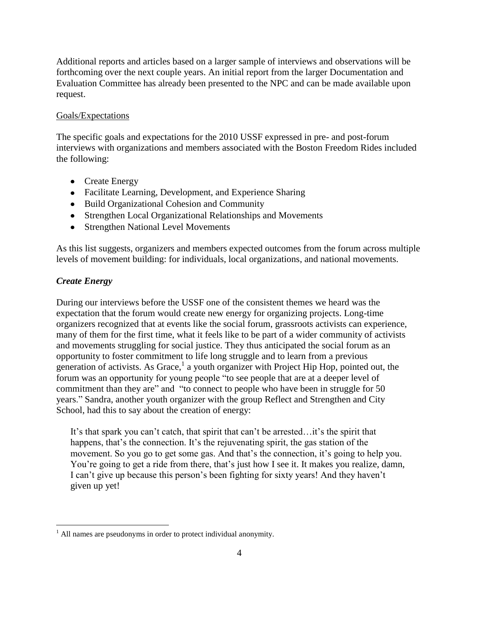Additional reports and articles based on a larger sample of interviews and observations will be forthcoming over the next couple years. An initial report from the larger Documentation and Evaluation Committee has already been presented to the NPC and can be made available upon request.

# Goals/Expectations

The specific goals and expectations for the 2010 USSF expressed in pre- and post-forum interviews with organizations and members associated with the Boston Freedom Rides included the following:

- Create Energy
- Facilitate Learning, Development, and Experience Sharing
- Build Organizational Cohesion and Community
- Strengthen Local Organizational Relationships and Movements
- Strengthen National Level Movements

As this list suggests, organizers and members expected outcomes from the forum across multiple levels of movement building: for individuals, local organizations, and national movements.

# *Create Energy*

 $\overline{a}$ 

During our interviews before the USSF one of the consistent themes we heard was the expectation that the forum would create new energy for organizing projects. Long-time organizers recognized that at events like the social forum, grassroots activists can experience, many of them for the first time, what it feels like to be part of a wider community of activists and movements struggling for social justice. They thus anticipated the social forum as an opportunity to foster commitment to life long struggle and to learn from a previous generation of activists. As Grace,<sup>1</sup> a youth organizer with Project Hip Hop, pointed out, the forum was an opportunity for young people "to see people that are at a deeper level of commitment than they are" and "to connect to people who have been in struggle for 50 years." Sandra, another youth organizer with the group Reflect and Strengthen and City School, had this to say about the creation of energy:

It's that spark you can't catch, that spirit that can't be arrested…it's the spirit that happens, that's the connection. It's the rejuvenating spirit, the gas station of the movement. So you go to get some gas. And that's the connection, it's going to help you. You're going to get a ride from there, that's just how I see it. It makes you realize, damn, I can't give up because this person's been fighting for sixty years! And they haven't given up yet!

 $<sup>1</sup>$  All names are pseudonyms in order to protect individual anonymity.</sup>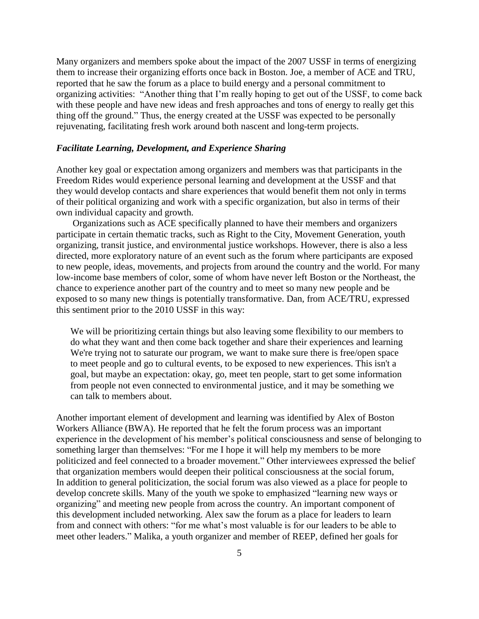Many organizers and members spoke about the impact of the 2007 USSF in terms of energizing them to increase their organizing efforts once back in Boston. Joe, a member of ACE and TRU, reported that he saw the forum as a place to build energy and a personal commitment to organizing activities: "Another thing that I'm really hoping to get out of the USSF, to come back with these people and have new ideas and fresh approaches and tons of energy to really get this thing off the ground." Thus, the energy created at the USSF was expected to be personally rejuvenating, facilitating fresh work around both nascent and long-term projects.

### *Facilitate Learning, Development, and Experience Sharing*

Another key goal or expectation among organizers and members was that participants in the Freedom Rides would experience personal learning and development at the USSF and that they would develop contacts and share experiences that would benefit them not only in terms of their political organizing and work with a specific organization, but also in terms of their own individual capacity and growth.

Organizations such as ACE specifically planned to have their members and organizers participate in certain thematic tracks, such as Right to the City, Movement Generation, youth organizing, transit justice, and environmental justice workshops. However, there is also a less directed, more exploratory nature of an event such as the forum where participants are exposed to new people, ideas, movements, and projects from around the country and the world. For many low-income base members of color, some of whom have never left Boston or the Northeast, the chance to experience another part of the country and to meet so many new people and be exposed to so many new things is potentially transformative. Dan, from ACE/TRU, expressed this sentiment prior to the 2010 USSF in this way:

We will be prioritizing certain things but also leaving some flexibility to our members to do what they want and then come back together and share their experiences and learning We're trying not to saturate our program, we want to make sure there is free/open space to meet people and go to cultural events, to be exposed to new experiences. This isn't a goal, but maybe an expectation: okay, go, meet ten people, start to get some information from people not even connected to environmental justice, and it may be something we can talk to members about.

Another important element of development and learning was identified by Alex of Boston Workers Alliance (BWA). He reported that he felt the forum process was an important experience in the development of his member's political consciousness and sense of belonging to something larger than themselves: "For me I hope it will help my members to be more politicized and feel connected to a broader movement." Other interviewees expressed the belief that organization members would deepen their political consciousness at the social forum, In addition to general politicization, the social forum was also viewed as a place for people to develop concrete skills. Many of the youth we spoke to emphasized "learning new ways or organizing" and meeting new people from across the country. An important component of this development included networking. Alex saw the forum as a place for leaders to learn from and connect with others: "for me what's most valuable is for our leaders to be able to meet other leaders." Malika, a youth organizer and member of REEP, defined her goals for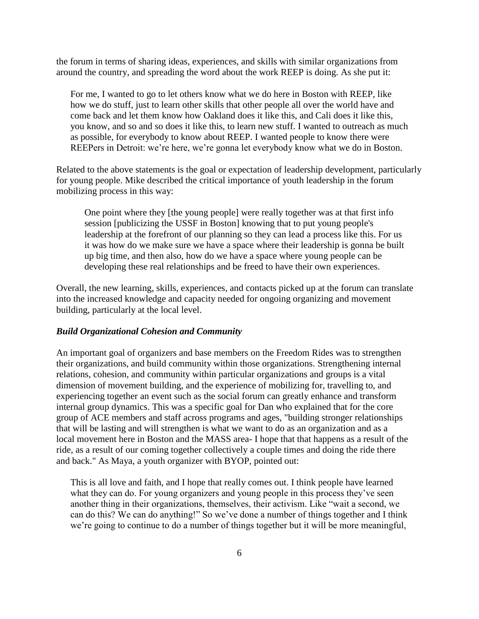the forum in terms of sharing ideas, experiences, and skills with similar organizations from around the country, and spreading the word about the work REEP is doing. As she put it:

For me, I wanted to go to let others know what we do here in Boston with REEP, like how we do stuff, just to learn other skills that other people all over the world have and come back and let them know how Oakland does it like this, and Cali does it like this, you know, and so and so does it like this, to learn new stuff. I wanted to outreach as much as possible, for everybody to know about REEP. I wanted people to know there were REEPers in Detroit: we're here, we're gonna let everybody know what we do in Boston.

Related to the above statements is the goal or expectation of leadership development, particularly for young people. Mike described the critical importance of youth leadership in the forum mobilizing process in this way:

One point where they [the young people] were really together was at that first info session [publicizing the USSF in Boston] knowing that to put young people's leadership at the forefront of our planning so they can lead a process like this. For us it was how do we make sure we have a space where their leadership is gonna be built up big time, and then also, how do we have a space where young people can be developing these real relationships and be freed to have their own experiences.

Overall, the new learning, skills, experiences, and contacts picked up at the forum can translate into the increased knowledge and capacity needed for ongoing organizing and movement building, particularly at the local level.

### *Build Organizational Cohesion and Community*

An important goal of organizers and base members on the Freedom Rides was to strengthen their organizations, and build community within those organizations. Strengthening internal relations, cohesion, and community within particular organizations and groups is a vital dimension of movement building, and the experience of mobilizing for, travelling to, and experiencing together an event such as the social forum can greatly enhance and transform internal group dynamics. This was a specific goal for Dan who explained that for the core group of ACE members and staff across programs and ages, "building stronger relationships that will be lasting and will strengthen is what we want to do as an organization and as a local movement here in Boston and the MASS area- I hope that that happens as a result of the ride, as a result of our coming together collectively a couple times and doing the ride there and back." As Maya, a youth organizer with BYOP, pointed out:

This is all love and faith, and I hope that really comes out. I think people have learned what they can do. For young organizers and young people in this process they've seen another thing in their organizations, themselves, their activism. Like "wait a second, we can do this? We can do anything!" So we've done a number of things together and I think we're going to continue to do a number of things together but it will be more meaningful,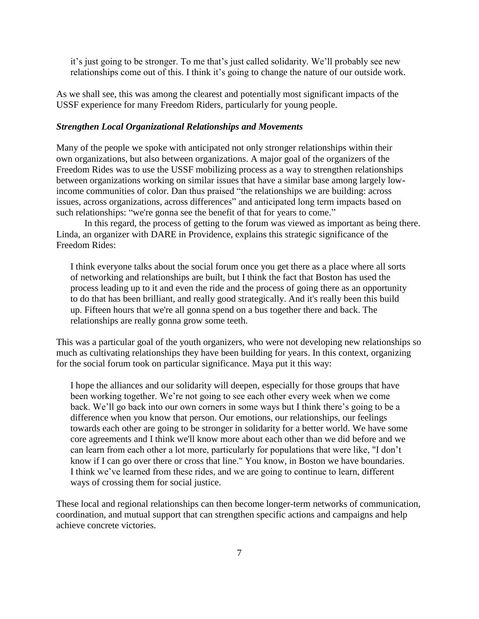it's just going to be stronger. To me that's just called solidarity. We'll probably see new relationships come out of this. I think it's going to change the nature of our outside work.

As we shall see, this was among the clearest and potentially most significant impacts of the USSF experience for many Freedom Riders, particularly for young people.

# *Strengthen Local Organizational Relationships and Movements*

Many of the people we spoke with anticipated not only stronger relationships within their own organizations, but also between organizations. A major goal of the organizers of the Freedom Rides was to use the USSF mobilizing process as a way to strengthen relationships between organizations working on similar issues that have a similar base among largely lowincome communities of color. Dan thus praised "the relationships we are building: across issues, across organizations, across differences" and anticipated long term impacts based on such relationships: "we're gonna see the benefit of that for years to come."

In this regard, the process of getting to the forum was viewed as important as being there. Linda, an organizer with DARE in Providence, explains this strategic significance of the Freedom Rides:

I think everyone talks about the social forum once you get there as a place where all sorts of networking and relationships are built, but I think the fact that Boston has used the process leading up to it and even the ride and the process of going there as an opportunity to do that has been brilliant, and really good strategically. And it's really been this build up. Fifteen hours that we're all gonna spend on a bus together there and back. The relationships are really gonna grow some teeth.

This was a particular goal of the youth organizers, who were not developing new relationships so much as cultivating relationships they have been building for years. In this context, organizing for the social forum took on particular significance. Maya put it this way:

I hope the alliances and our solidarity will deepen, especially for those groups that have been working together. We're not going to see each other every week when we come back. We'll go back into our own corners in some ways but I think there's going to be a difference when you know that person. Our emotions, our relationships, our feelings towards each other are going to be stronger in solidarity for a better world. We have some core agreements and I think we'll know more about each other than we did before and we can learn from each other a lot more, particularly for populations that were like, "I don't know if I can go over there or cross that line." You know, in Boston we have boundaries. I think we've learned from these rides, and we are going to continue to learn, different ways of crossing them for social justice.

These local and regional relationships can then become longer-term networks of communication, coordination, and mutual support that can strengthen specific actions and campaigns and help achieve concrete victories.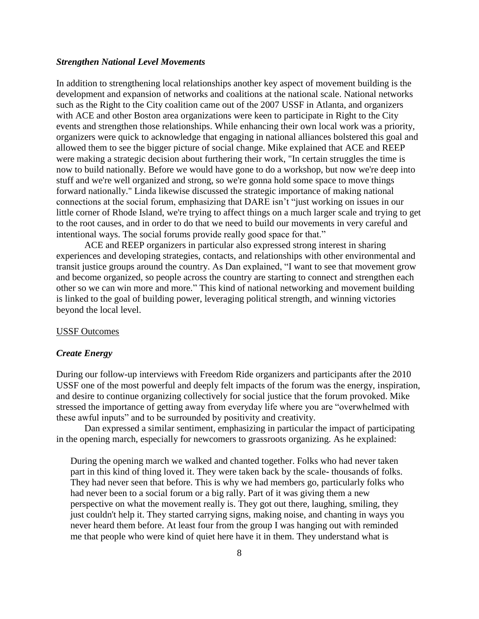### *Strengthen National Level Movements*

In addition to strengthening local relationships another key aspect of movement building is the development and expansion of networks and coalitions at the national scale. National networks such as the Right to the City coalition came out of the 2007 USSF in Atlanta, and organizers with ACE and other Boston area organizations were keen to participate in Right to the City events and strengthen those relationships. While enhancing their own local work was a priority, organizers were quick to acknowledge that engaging in national alliances bolstered this goal and allowed them to see the bigger picture of social change. Mike explained that ACE and REEP were making a strategic decision about furthering their work, "In certain struggles the time is now to build nationally. Before we would have gone to do a workshop, but now we're deep into stuff and we're well organized and strong, so we're gonna hold some space to move things forward nationally." Linda likewise discussed the strategic importance of making national connections at the social forum, emphasizing that DARE isn't "just working on issues in our little corner of Rhode Island, we're trying to affect things on a much larger scale and trying to get to the root causes, and in order to do that we need to build our movements in very careful and intentional ways. The social forums provide really good space for that."

ACE and REEP organizers in particular also expressed strong interest in sharing experiences and developing strategies, contacts, and relationships with other environmental and transit justice groups around the country. As Dan explained, "I want to see that movement grow and become organized, so people across the country are starting to connect and strengthen each other so we can win more and more." This kind of national networking and movement building is linked to the goal of building power, leveraging political strength, and winning victories beyond the local level.

# USSF Outcomes

### *Create Energy*

During our follow-up interviews with Freedom Ride organizers and participants after the 2010 USSF one of the most powerful and deeply felt impacts of the forum was the energy, inspiration, and desire to continue organizing collectively for social justice that the forum provoked. Mike stressed the importance of getting away from everyday life where you are "overwhelmed with these awful inputs" and to be surrounded by positivity and creativity.

Dan expressed a similar sentiment, emphasizing in particular the impact of participating in the opening march, especially for newcomers to grassroots organizing. As he explained:

During the opening march we walked and chanted together. Folks who had never taken part in this kind of thing loved it. They were taken back by the scale**-** thousands of folks. They had never seen that before. This is why we had members go, particularly folks who had never been to a social forum or a big rally. Part of it was giving them a new perspective on what the movement really is. They got out there, laughing, smiling, they just couldn't help it. They started carrying signs, making noise, and chanting in ways you never heard them before. At least four from the group I was hanging out with reminded me that people who were kind of quiet here have it in them. They understand what is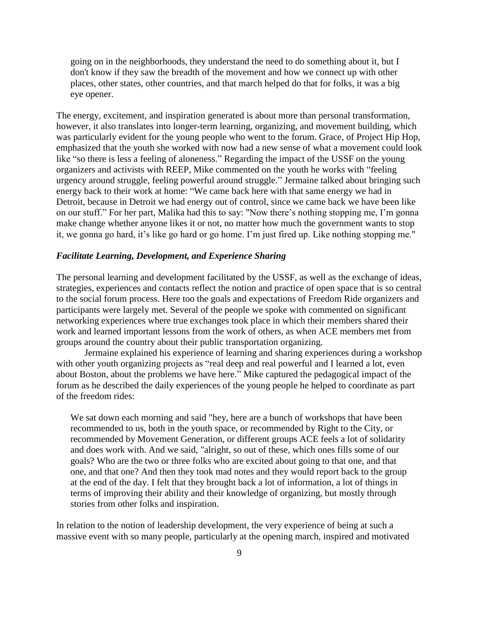going on in the neighborhoods, they understand the need to do something about it, but I don't know if they saw the breadth of the movement and how we connect up with other places, other states, other countries, and that march helped do that for folks, it was a big eye opener.

The energy, excitement, and inspiration generated is about more than personal transformation, however, it also translates into longer-term learning, organizing, and movement building, which was particularly evident for the young people who went to the forum. Grace, of Project Hip Hop, emphasized that the youth she worked with now had a new sense of what a movement could look like "so there is less a feeling of aloneness." Regarding the impact of the USSF on the young organizers and activists with REEP, Mike commented on the youth he works with "feeling urgency around struggle, feeling powerful around struggle." Jermaine talked about bringing such energy back to their work at home: "We came back here with that same energy we had in Detroit, because in Detroit we had energy out of control, since we came back we have been like on our stuff." For her part, Malika had this to say: "Now there's nothing stopping me, I'm gonna make change whether anyone likes it or not, no matter how much the government wants to stop it, we gonna go hard, it's like go hard or go home. I'm just fired up. Like nothing stopping me."

### *Facilitate Learning, Development, and Experience Sharing*

The personal learning and development facilitated by the USSF, as well as the exchange of ideas, strategies, experiences and contacts reflect the notion and practice of open space that is so central to the social forum process. Here too the goals and expectations of Freedom Ride organizers and participants were largely met. Several of the people we spoke with commented on significant networking experiences where true exchanges took place in which their members shared their work and learned important lessons from the work of others, as when ACE members met from groups around the country about their public transportation organizing.

Jermaine explained his experience of learning and sharing experiences during a workshop with other youth organizing projects as "real deep and real powerful and I learned a lot, even about Boston, about the problems we have here." Mike captured the pedagogical impact of the forum as he described the daily experiences of the young people he helped to coordinate as part of the freedom rides:

We sat down each morning and said "hey, here are a bunch of workshops that have been recommended to us, both in the youth space, or recommended by Right to the City, or recommended by Movement Generation, or different groups ACE feels a lot of solidarity and does work with. And we said, "alright, so out of these, which ones fills some of our goals? Who are the two or three folks who are excited about going to that one, and that one, and that one? And then they took mad notes and they would report back to the group at the end of the day. I felt that they brought back a lot of information, a lot of things in terms of improving their ability and their knowledge of organizing, but mostly through stories from other folks and inspiration.

In relation to the notion of leadership development, the very experience of being at such a massive event with so many people, particularly at the opening march, inspired and motivated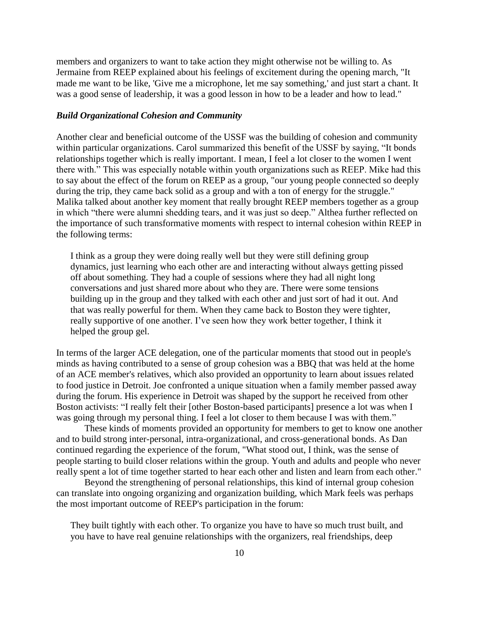members and organizers to want to take action they might otherwise not be willing to. As Jermaine from REEP explained about his feelings of excitement during the opening march, "It made me want to be like, 'Give me a microphone, let me say something,' and just start a chant. It was a good sense of leadership, it was a good lesson in how to be a leader and how to lead."

### *Build Organizational Cohesion and Community*

Another clear and beneficial outcome of the USSF was the building of cohesion and community within particular organizations. Carol summarized this benefit of the USSF by saying, "It bonds relationships together which is really important. I mean, I feel a lot closer to the women I went there with." This was especially notable within youth organizations such as REEP. Mike had this to say about the effect of the forum on REEP as a group, "our young people connected so deeply during the trip, they came back solid as a group and with a ton of energy for the struggle." Malika talked about another key moment that really brought REEP members together as a group in which "there were alumni shedding tears, and it was just so deep." Althea further reflected on the importance of such transformative moments with respect to internal cohesion within REEP in the following terms:

I think as a group they were doing really well but they were still defining group dynamics, just learning who each other are and interacting without always getting pissed off about something. They had a couple of sessions where they had all night long conversations and just shared more about who they are. There were some tensions building up in the group and they talked with each other and just sort of had it out. And that was really powerful for them. When they came back to Boston they were tighter, really supportive of one another. I've seen how they work better together, I think it helped the group gel.

In terms of the larger ACE delegation, one of the particular moments that stood out in people's minds as having contributed to a sense of group cohesion was a BBQ that was held at the home of an ACE member's relatives, which also provided an opportunity to learn about issues related to food justice in Detroit. Joe confronted a unique situation when a family member passed away during the forum. His experience in Detroit was shaped by the support he received from other Boston activists: "I really felt their [other Boston-based participants] presence a lot was when I was going through my personal thing. I feel a lot closer to them because I was with them."

These kinds of moments provided an opportunity for members to get to know one another and to build strong inter-personal, intra-organizational, and cross-generational bonds. As Dan continued regarding the experience of the forum, "What stood out, I think, was the sense of people starting to build closer relations within the group. Youth and adults and people who never really spent a lot of time together started to hear each other and listen and learn from each other."

Beyond the strengthening of personal relationships, this kind of internal group cohesion can translate into ongoing organizing and organization building, which Mark feels was perhaps the most important outcome of REEP's participation in the forum:

They built tightly with each other. To organize you have to have so much trust built, and you have to have real genuine relationships with the organizers, real friendships, deep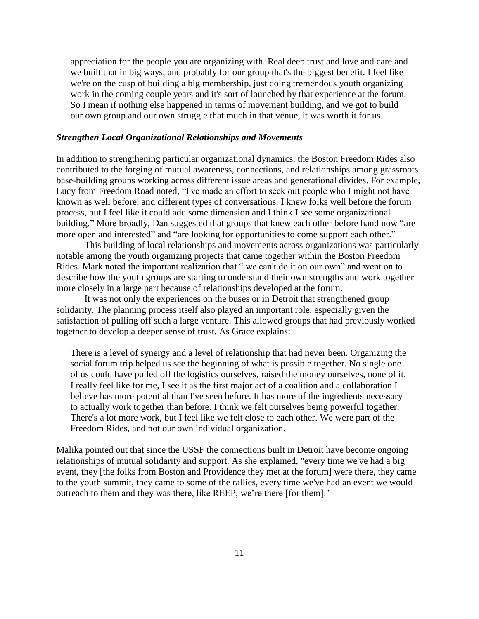appreciation for the people you are organizing with. Real deep trust and love and care and we built that in big ways, and probably for our group that's the biggest benefit. I feel like we're on the cusp of building a big membership, just doing tremendous youth organizing work in the coming couple years and it's sort of launched by that experience at the forum. So I mean if nothing else happened in terms of movement building, and we got to build our own group and our own struggle that much in that venue, it was worth it for us.

### *Strengthen Local Organizational Relationships and Movements*

In addition to strengthening particular organizational dynamics, the Boston Freedom Rides also contributed to the forging of mutual awareness, connections, and relationships among grassroots base-building groups working across different issue areas and generational divides. For example, Lucy from Freedom Road noted, "I've made an effort to seek out people who I might not have known as well before, and different types of conversations. I knew folks well before the forum process, but I feel like it could add some dimension and I think I see some organizational building." More broadly, Dan suggested that groups that knew each other before hand now "are more open and interested" and "are looking for opportunities to come support each other."

This building of local relationships and movements across organizations was particularly notable among the youth organizing projects that came together within the Boston Freedom Rides. Mark noted the important realization that " we can't do it on our own" and went on to describe how the youth groups are starting to understand their own strengths and work together more closely in a large part because of relationships developed at the forum.

It was not only the experiences on the buses or in Detroit that strengthened group solidarity. The planning process itself also played an important role, especially given the satisfaction of pulling off such a large venture. This allowed groups that had previously worked together to develop a deeper sense of trust. As Grace explains:

There is a level of synergy and a level of relationship that had never been. Organizing the social forum trip helped us see the beginning of what is possible together. No single one of us could have pulled off the logistics ourselves, raised the money ourselves, none of it. I really feel like for me, I see it as the first major act of a coalition and a collaboration I believe has more potential than I've seen before. It has more of the ingredients necessary to actually work together than before. I think we felt ourselves being powerful together. There's a lot more work, but I feel like we felt close to each other. We were part of the Freedom Rides, and not our own individual organization.

Malika pointed out that since the USSF the connections built in Detroit have become ongoing relationships of mutual solidarity and support. As she explained, "every time we've had a big event, they [the folks from Boston and Providence they met at the forum] were there, they came to the youth summit, they came to some of the rallies, every time we've had an event we would outreach to them and they was there, like REEP, we're there [for them]."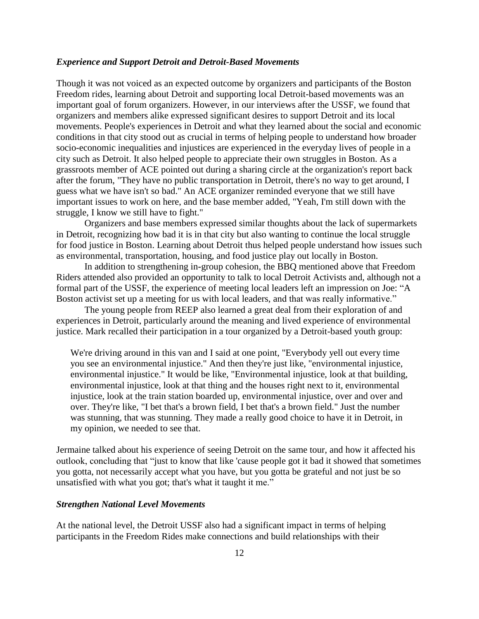### *Experience and Support Detroit and Detroit-Based Movements*

Though it was not voiced as an expected outcome by organizers and participants of the Boston Freedom rides, learning about Detroit and supporting local Detroit-based movements was an important goal of forum organizers. However, in our interviews after the USSF, we found that organizers and members alike expressed significant desires to support Detroit and its local movements. People's experiences in Detroit and what they learned about the social and economic conditions in that city stood out as crucial in terms of helping people to understand how broader socio-economic inequalities and injustices are experienced in the everyday lives of people in a city such as Detroit. It also helped people to appreciate their own struggles in Boston. As a grassroots member of ACE pointed out during a sharing circle at the organization's report back after the forum, "They have no public transportation in Detroit, there's no way to get around, I guess what we have isn't so bad." An ACE organizer reminded everyone that we still have important issues to work on here, and the base member added, "Yeah, I'm still down with the struggle, I know we still have to fight."

Organizers and base members expressed similar thoughts about the lack of supermarkets in Detroit, recognizing how bad it is in that city but also wanting to continue the local struggle for food justice in Boston. Learning about Detroit thus helped people understand how issues such as environmental, transportation, housing, and food justice play out locally in Boston.

In addition to strengthening in**-**group cohesion, the BBQ mentioned above that Freedom Riders attended also provided an opportunity to talk to local Detroit Activists and, although not a formal part of the USSF, the experience of meeting local leaders left an impression on Joe: "A Boston activist set up a meeting for us with local leaders, and that was really informative."

The young people from REEP also learned a great deal from their exploration of and experiences in Detroit, particularly around the meaning and lived experience of environmental justice. Mark recalled their participation in a tour organized by a Detroit-based youth group:

We're driving around in this van and I said at one point, "Everybody yell out every time you see an environmental injustice." And then they're just like, "environmental injustice, environmental injustice." It would be like, "Environmental injustice, look at that building, environmental injustice, look at that thing and the houses right next to it, environmental injustice, look at the train station boarded up, environmental injustice, over and over and over. They're like, "I bet that's a brown field, I bet that's a brown field." Just the number was stunning, that was stunning. They made a really good choice to have it in Detroit, in my opinion, we needed to see that.

Jermaine talked about his experience of seeing Detroit on the same tour, and how it affected his outlook, concluding that "just to know that like 'cause people got it bad it showed that sometimes you gotta, not necessarily accept what you have, but you gotta be grateful and not just be so unsatisfied with what you got; that's what it taught it me."

# *Strengthen National Level Movements*

At the national level, the Detroit USSF also had a significant impact in terms of helping participants in the Freedom Rides make connections and build relationships with their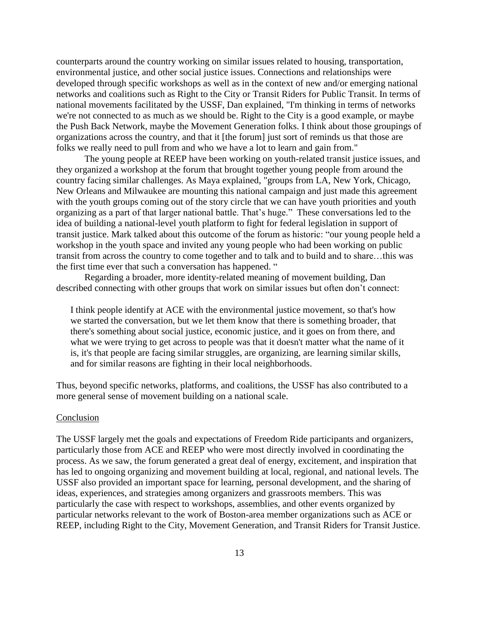counterparts around the country working on similar issues related to housing, transportation, environmental justice, and other social justice issues. Connections and relationships were developed through specific workshops as well as in the context of new and/or emerging national networks and coalitions such as Right to the City or Transit Riders for Public Transit. In terms of national movements facilitated by the USSF, Dan explained, "I'm thinking in terms of networks we're not connected to as much as we should be. Right to the City is a good example, or maybe the Push Back Network, maybe the Movement Generation folks. I think about those groupings of organizations across the country, and that it [the forum] just sort of reminds us that those are folks we really need to pull from and who we have a lot to learn and gain from."

The young people at REEP have been working on youth-related transit justice issues, and they organized a workshop at the forum that brought together young people from around the country facing similar challenges. As Maya explained, "groups from LA, New York, Chicago, New Orleans and Milwaukee are mounting this national campaign and just made this agreement with the youth groups coming out of the story circle that we can have youth priorities and youth organizing as a part of that larger national battle. That's huge." These conversations led to the idea of building a national-level youth platform to fight for federal legislation in support of transit justice. Mark talked about this outcome of the forum as historic: "our young people held a workshop in the youth space and invited any young people who had been working on public transit from across the country to come together and to talk and to build and to share…this was the first time ever that such a conversation has happened. "

Regarding a broader, more identity-related meaning of movement building, Dan described connecting with other groups that work on similar issues but often don't connect:

I think people identify at ACE with the environmental justice movement, so that's how we started the conversation, but we let them know that there is something broader, that there's something about social justice, economic justice, and it goes on from there, and what we were trying to get across to people was that it doesn't matter what the name of it is, it's that people are facing similar struggles, are organizing, are learning similar skills, and for similar reasons are fighting in their local neighborhoods.

Thus, beyond specific networks, platforms, and coalitions, the USSF has also contributed to a more general sense of movement building on a national scale.

### Conclusion

The USSF largely met the goals and expectations of Freedom Ride participants and organizers, particularly those from ACE and REEP who were most directly involved in coordinating the process. As we saw, the forum generated a great deal of energy, excitement, and inspiration that has led to ongoing organizing and movement building at local, regional, and national levels. The USSF also provided an important space for learning, personal development, and the sharing of ideas, experiences, and strategies among organizers and grassroots members. This was particularly the case with respect to workshops, assemblies, and other events organized by particular networks relevant to the work of Boston-area member organizations such as ACE or REEP, including Right to the City, Movement Generation, and Transit Riders for Transit Justice.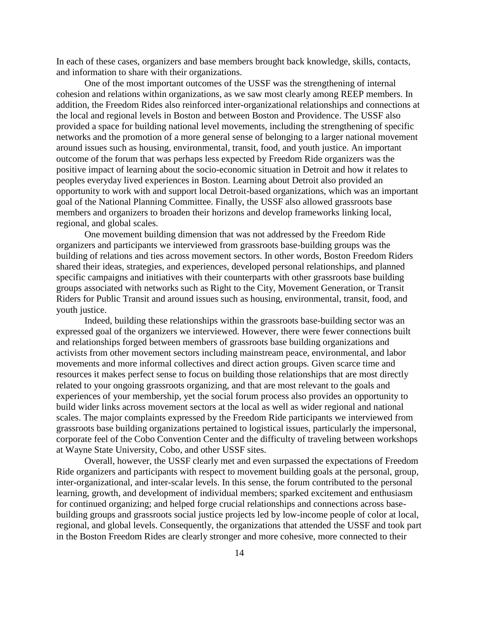In each of these cases, organizers and base members brought back knowledge, skills, contacts, and information to share with their organizations.

One of the most important outcomes of the USSF was the strengthening of internal cohesion and relations within organizations, as we saw most clearly among REEP members. In addition, the Freedom Rides also reinforced inter-organizational relationships and connections at the local and regional levels in Boston and between Boston and Providence. The USSF also provided a space for building national level movements, including the strengthening of specific networks and the promotion of a more general sense of belonging to a larger national movement around issues such as housing, environmental, transit, food, and youth justice. An important outcome of the forum that was perhaps less expected by Freedom Ride organizers was the positive impact of learning about the socio-economic situation in Detroit and how it relates to peoples everyday lived experiences in Boston. Learning about Detroit also provided an opportunity to work with and support local Detroit-based organizations, which was an important goal of the National Planning Committee. Finally, the USSF also allowed grassroots base members and organizers to broaden their horizons and develop frameworks linking local, regional, and global scales.

One movement building dimension that was not addressed by the Freedom Ride organizers and participants we interviewed from grassroots base-building groups was the building of relations and ties across movement sectors. In other words, Boston Freedom Riders shared their ideas, strategies, and experiences, developed personal relationships, and planned specific campaigns and initiatives with their counterparts with other grassroots base building groups associated with networks such as Right to the City, Movement Generation, or Transit Riders for Public Transit and around issues such as housing, environmental, transit, food, and youth justice.

Indeed, building these relationships within the grassroots base-building sector was an expressed goal of the organizers we interviewed. However, there were fewer connections built and relationships forged between members of grassroots base building organizations and activists from other movement sectors including mainstream peace, environmental, and labor movements and more informal collectives and direct action groups. Given scarce time and resources it makes perfect sense to focus on building those relationships that are most directly related to your ongoing grassroots organizing, and that are most relevant to the goals and experiences of your membership, yet the social forum process also provides an opportunity to build wider links across movement sectors at the local as well as wider regional and national scales. The major complaints expressed by the Freedom Ride participants we interviewed from grassroots base building organizations pertained to logistical issues, particularly the impersonal, corporate feel of the Cobo Convention Center and the difficulty of traveling between workshops at Wayne State University, Cobo, and other USSF sites.

Overall, however, the USSF clearly met and even surpassed the expectations of Freedom Ride organizers and participants with respect to movement building goals at the personal, group, inter-organizational, and inter-scalar levels. In this sense, the forum contributed to the personal learning, growth, and development of individual members; sparked excitement and enthusiasm for continued organizing; and helped forge crucial relationships and connections across basebuilding groups and grassroots social justice projects led by low-income people of color at local, regional, and global levels. Consequently, the organizations that attended the USSF and took part in the Boston Freedom Rides are clearly stronger and more cohesive, more connected to their